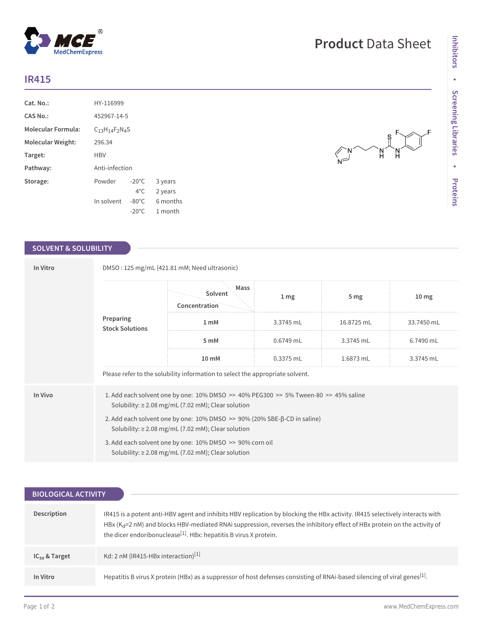## **IR415**

| $Cat. No.$ :              | HY-116999                 |                 |          |  |
|---------------------------|---------------------------|-----------------|----------|--|
| CAS No.:                  | 452967-14-5               |                 |          |  |
| <b>Molecular Formula:</b> | $C_{13}H_{14}F_{2}N_{4}S$ |                 |          |  |
| Molecular Weight:         | 296.34                    |                 |          |  |
| Target:                   | HBV                       |                 |          |  |
| Pathway:                  | Anti-infection            |                 |          |  |
| Storage:                  | Powder                    | $-20^{\circ}$ C | 3 years  |  |
|                           |                           | $4^{\circ}$ C   | 2 years  |  |
|                           | In solvent                | $-80^{\circ}$ C | 6 months |  |
|                           |                           | $-20^{\circ}$ C | 1 month  |  |

## **SOLVENT & SOLUBILITY**

| In Vitro |                                                                                                                                                               | DMSO: 125 mg/mL (421.81 mM; Need ultrasonic) |                 |                 |                  |  |  |
|----------|---------------------------------------------------------------------------------------------------------------------------------------------------------------|----------------------------------------------|-----------------|-----------------|------------------|--|--|
|          |                                                                                                                                                               | Mass<br>Solvent<br>Concentration             | 1 <sub>mg</sub> | 5 <sub>mg</sub> | 10 <sub>mg</sub> |  |  |
|          | Preparing<br><b>Stock Solutions</b>                                                                                                                           | $1 \text{ mM}$                               | 3.3745 mL       | 16.8725 mL      | 33.7450 mL       |  |  |
|          |                                                                                                                                                               | 5 mM                                         | $0.6749$ mL     | 3.3745 mL       | 6.7490 mL        |  |  |
|          | $10 \text{ mM}$                                                                                                                                               | 0.3375 mL                                    | 1.6873 mL       | 3.3745 mL       |                  |  |  |
|          | Please refer to the solubility information to select the appropriate solvent.                                                                                 |                                              |                 |                 |                  |  |  |
| In Vivo  | 1. Add each solvent one by one: $10\%$ DMSO $\geq$ 40% PEG300 $\geq$ 5% Tween-80 $\geq$ 45% saline<br>Solubility: $\geq$ 2.08 mg/mL (7.02 mM); Clear solution |                                              |                 |                 |                  |  |  |
|          | 2. Add each solvent one by one: $10\%$ DMSO $\gg$ 90% (20% SBE- $\beta$ -CD in saline)<br>Solubility: $\geq$ 2.08 mg/mL (7.02 mM); Clear solution             |                                              |                 |                 |                  |  |  |
|          | 3. Add each solvent one by one: 10% DMSO >> 90% corn oil<br>Solubility: $\geq$ 2.08 mg/mL (7.02 mM); Clear solution                                           |                                              |                 |                 |                  |  |  |

| <b>BIOLOGICAL ACTIVITY</b> |                                                                                                                                                                                                                                                                                                                                                |  |  |  |
|----------------------------|------------------------------------------------------------------------------------------------------------------------------------------------------------------------------------------------------------------------------------------------------------------------------------------------------------------------------------------------|--|--|--|
| Description                | IR415 is a potent anti-HBV agent and inhibits HBV replication by blocking the HBx activity. IR415 selectively interacts with<br>HBx ( $K_d$ =2 nM) and blocks HBV-mediated RNAi suppression, reverses the inhibitory effect of HBx protein on the activity of<br>the dicer endoribonuclease <sup>[1]</sup> . HBx: hepatitis B virus X protein. |  |  |  |
| $IC_{50}$ & Target         | Kd: 2 nM (IR415-HBx interaction) <sup>[1]</sup>                                                                                                                                                                                                                                                                                                |  |  |  |
| In Vitro                   | Hepatitis B virus X protein (HBx) as a suppressor of host defenses consisting of RNAi-based silencing of viral genes <sup>[1]</sup> .                                                                                                                                                                                                          |  |  |  |

 $\begin{picture}(180,10) \put(0,0){\line(1,0){155}} \put(15,0){\line(1,0){155}} \put(15,0){\line(1,0){155}} \put(15,0){\line(1,0){155}} \put(15,0){\line(1,0){155}} \put(15,0){\line(1,0){155}} \put(15,0){\line(1,0){155}} \put(15,0){\line(1,0){155}} \put(15,0){\line(1,0){155}} \put(15,0){\line(1,0){155}} \put(15,0){\line(1,0){155}}$ 

 $\hat{H}$ N<br>H